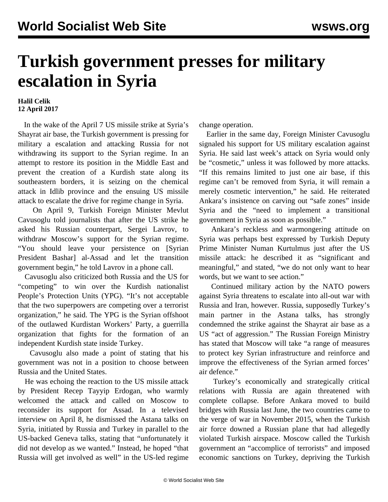## **Turkish government presses for military escalation in Syria**

## **Halil Celik 12 April 2017**

 In the wake of the April 7 US missile strike at Syria's Shayrat air base, the Turkish government is pressing for military a escalation and attacking Russia for not withdrawing its support to the Syrian regime. In an attempt to restore its position in the Middle East and prevent the creation of a Kurdish state along its southeastern borders, it is seizing on the chemical attack in Idlib province and the ensuing US missile attack to escalate the drive for regime change in Syria.

 On April 9, Turkish Foreign Minister Mevlut Cavusoglu told journalists that after the US strike he asked his Russian counterpart, Sergei Lavrov, to withdraw Moscow's support for the Syrian regime. "You should leave your persistence on [Syrian President Bashar] al-Assad and let the transition government begin," he told Lavrov in a phone call.

 Cavusoglu also criticized both Russia and the US for "competing" to win over the Kurdish nationalist People's Protection Units (YPG). "It's not acceptable that the two superpowers are competing over a terrorist organization," he said. The YPG is the Syrian offshoot of the outlawed Kurdistan Workers' Party, a guerrilla organization that fights for the formation of an independent Kurdish state inside Turkey.

 Cavusoglu also made a point of stating that his government was not in a position to choose between Russia and the United States.

 He was echoing the reaction to the US missile attack by President Recep Tayyip Erdogan, who warmly welcomed the attack and called on Moscow to reconsider its support for Assad. In a televised interview on April 8, he dismissed the Astana talks on Syria, initiated by Russia and Turkey in parallel to the US-backed Geneva talks, stating that "unfortunately it did not develop as we wanted." Instead, he hoped "that Russia will get involved as well" in the US-led regime

change operation.

 Earlier in the same day, Foreign Minister Cavusoglu signaled his support for US military escalation against Syria. He said last week's attack on Syria would only be "cosmetic," unless it was followed by more attacks. "If this remains limited to just one air base, if this regime can't be removed from Syria, it will remain a merely cosmetic intervention," he said. He reiterated Ankara's insistence on carving out "safe zones" inside Syria and the "need to implement a transitional government in Syria as soon as possible."

 Ankara's reckless and warmongering attitude on Syria was perhaps best expressed by Turkish Deputy Prime Minister Numan Kurtulmus just after the US missile attack: he described it as "significant and meaningful," and stated, "we do not only want to hear words, but we want to see action."

 Continued military action by the NATO powers against Syria threatens to escalate into all-out war with Russia and Iran, however. Russia, supposedly Turkey's main partner in the Astana talks, has strongly condemned the strike against the Shayrat air base as a US "act of aggression." The Russian Foreign Ministry has stated that Moscow will take "a range of measures to protect key Syrian infrastructure and reinforce and improve the effectiveness of the Syrian armed forces' air defence."

 Turkey's economically and strategically critical relations with Russia are again threatened with complete collapse. Before Ankara moved to build bridges with Russia last June, the two countries came to the verge of war in November 2015, when the Turkish air force downed a Russian plane that had allegedly violated Turkish airspace. Moscow called the Turkish government an "accomplice of terrorists" and imposed economic sanctions on Turkey, depriving the Turkish